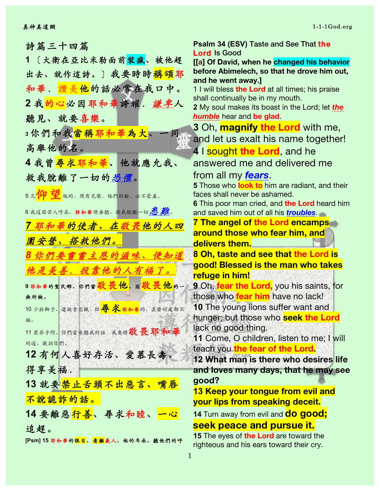| 詩篇三十四篇                                              |
|-----------------------------------------------------|
| 〔大衛在亞比米勒面前裝瘋、被他趕<br>1.                              |
| 出去、就作這詩。〕我要時時 <mark>稱頌</mark> 耶                     |
| 和華.讚美他的話必常在我口中。                                     |
| 2 我 <mark>的心</mark> 必因耶和華誇耀.謙卑人                     |
| 聽見、就要喜樂。                                            |
| 3你們和我當稱耶和華為大、<br>同                                  |
| 高舉他的名。                                              |
| 4 我曾 <mark>尋求耶和華</mark> 、他就應允我、                     |
| 救我脫離了一切的恐懼。                                         |
| 5 凡1 <mark>1印 1望</mark> 他的、便有光荣,他們的臉、必不蒙羞。          |
| 6 我這困苦人呼求、耶和華便垂聽、救我脫離一切慮難。                          |
| 7 耶和華的使者、在敬畏他的人四                                    |
| 圍安營、搭救他們。                                           |
| 8 你們要嘗嘗主恩的滋味、便知道                                    |
| 他是美善. 投靠他的人有福了。                                     |
| 9耶和華的聖民哪、 你们当 <mark>敬畏他、因敬畏他</mark> 的一              |
| 無所缺。                                                |
| 10 少壯獅子、還缺食忍餓. 但 <mark>尋 求 耶和華</mark> 的、甚麼好處都不      |
| 缺。<br>11 眾弟子阿、你們當來聽我的話. 我要將敬畏耶和華                    |
| 的道、教訓你們。                                            |
| 12有何人喜好存活、愛慕長壽、                                     |
| 得享美福.                                               |
| 13 就要禁止舌頭不出惡言、嘴唇                                    |
| 不說詭詐的話。                                             |
| 14 要離惡 <mark>行善</mark> 、尋求和睦、 <mark>一心</mark>       |
| 追趕。                                                 |
| <b>[Psm] 15 耶和華的<mark>眼目</mark>、看顧義人、他的耳朵、聽他們的呼</b> |

**Psalm 34 (ESV)** Taste and See That the Lord Is Good **[[a] Of David, when he changed his behavior before Abimelech, so that he drove him out, and he went away.]** 1 I will bless **the Lord** at all times; his praise shall continually be in my mouth. **2** My soul makes its boast in the Lord; let *the humble* hear and **be glad**. **3** Oh, **magnify the Lord** with me, and let us exalt his name together! **4** I sought **the Lord**, and he answered me and delivered me from all my *fears*. **5** Those who **look to** him are radiant, and their faces shall never be ashamed. **6** This poor man cried, and **the Lord** heard him and saved him out of all his *troubles*. **7 The angel of the Lord encamps around those who fear him, and delivers them. 8 Oh, taste and see that the Lord is good! Blessed is the man who takes refuge in him! 9** Oh, **fear the Lord,** you his saints, for those who **fear him** have no lack! **10** The young lions suffer want and hunger; but those who **seek the Lord** lack no good thing. **11** Come, O children, listen to me; I will teach you **the fear of the Lord. 12 What man is there who desires life and loves many days, that he may see good? 13 Keep your tongue from evil and your lips from speaking deceit. 14** Turn away from evil and **do good; seek peace and pursue it.**

**15** The eyes of **the Lord** are toward the righteous and his ears toward their cry.